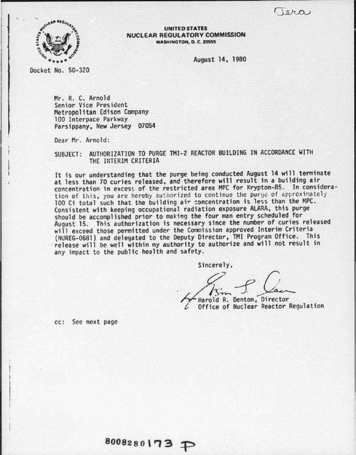$10/20$ 



UNITED STATES NUCLEAR REGULATORY COMMISSION **WASHINGTON, D. C. 20555** 

August 14, 1980

Docket No. 50-320

Mr. R. C. Arnold Senior Vice President<br>Metropolitan Edison Company 100 Interpace Parkway<br>Parsippany, New Jersey 07054

Dear Mr. Arnold:

SUBJECT: AUTHORIZATION TO PURGE TMI-2 REACTOR BUilDING IN ACCORDANCE WITH THE INTERIM CRITERIA

It is our understanding that the purge being conducted August 14 will terminate at less than 70 curies released, and therefore will result in a building air concentration in excess of the restricted area MPC for Krypton-85. In considera-<br>tion of this, you are hereby authorized to continue the purge of approximately 100 Ci total such that the building air concentration is less than the MPC.<br>Consistent with keeping occupational radiation exposure ALARA, this purge should be accomplished prior to making the four man entry scheduled for August 15. This authorization is necessary since the number of curies released will exceed those permitted under the Commission approved Interim Criteria (NUREG-0681) and delegated to the Deputy Director, TMI Program Office. This release will be well within my authority to authorize and will not result in any impact to the public health and safety.

Sincerely,

Harold R. Denton, Director Office of Nuclear Reactor Regulation

cc: See next page

 $8008280173 \text{ P}$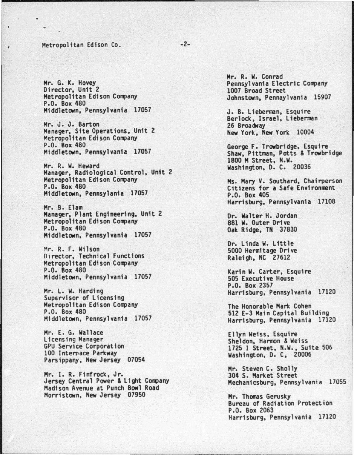## Metropolitan Edison Co.

7

Hr. G. K. Hovey Director, Unit 2 Metropolitan Edison Company<br>P.O. Box 480 Middletown, Pennsylvania 17057

Hr. J. J. Barton Manager, Site Operations, Unit 2 Metropolitan Edison Company<br>P.O. Box 480 Htddletown, Pennsylvania 17057

Hr. R. w. Heward Manager, Radiological Control, Unit 2 Metropolitan Edison Company<br>P.O. Box 480 Middletown, Pennsylania 17057

Hr. B. Etam Manager, Plant Engineering, Unit 2 Metropolitan Edison Company<br>P.O. Box 480 Middletown, Pennsylvania 17057

Mr. R. F. Wilson 01rector, Technical Functions Metropolitan Edison Company P.O. Box 480 Middletown, Pennsylvania 17057

Mr. L. W. Harding<br>Supervisor of Licensing Metropolitan Edison Company<br>P.O. Box 480 Middletown, Pennsylvania 17057

Hr. E. G. Wallace GPU Service Corporation<br>100 Internace Parkway<br>Parsippany, New Jersey 07054

Hr. I. R. Finfrock, Jr. Jersey Central Power & Light Company<br>Madison Avenue at Punch Bowl Road Morristown, New Jersey 07950

Mr. R. w. Conrad Pennsylvania Electric Company 1007 Broad Street Johnstown, Pennaylvanta 15907

J. B. Lieberman, Esquire<br>Berlock, Israel, Lieberman<br>26 Broadway New York, New York 10004

George F. Trowbridge, Esquire Shaw, Pittman, Potts & Trowbridge 1800 M Street, N.W. Washington, D. C. 20036

Ms. Mary V. Southard, Chairperson<br>Citizens for a Safe Environment P.O. Box 405 Harrisburg. Pennsylvania 17108

Or. Walter H. Jordan 881 w. Outer Drive Oak Ridge, TN 37830

Dr. Linda w. little 5000 Hermitage Drive Raleigh, NC 27612

Karin w. Carter, Esquire 505 Executive House P.O. Box 2357 Harrisburg, Pennsylvania 17120

The Honorable Mark Cohen<br>512 E-3 Main Capital Building Harrisburg, Pennsylvania 17120

Ellyn Weiss, Esquire<br>Sheldon, Harmon & Weiss 1725 I Street, N.W., Suite 506 Washington, D. C, 20006

Mr. Steven c. Sholly 304 s. Market Street Mechanicsburg, Pennsylvania 17055

Hr. Thomas Gerusky Bureau of Radiation Protect ion P.O. Box 2063 Harrisburg, Pennsylvania 17120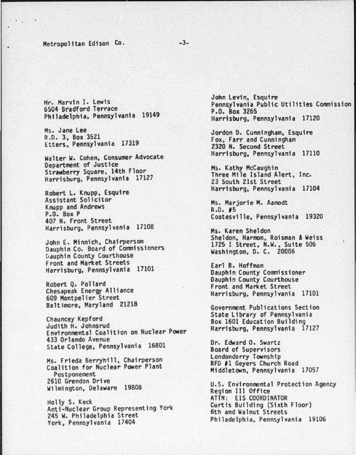## Metropolitan Edison Co.

Hr. Harvin I. lewis 6504 Bradford Terrace Philadelphia, Pennsylvania 19149 -3-

Ms. Jane Lee R.O. 3, Box 3521 Etters, Pennsylvania 17319

Walter w. Cohen, Consumer Advocate Department of Justice Strawberry Square, 14th Floor Harrisburg, Pennsylvania 17127

Robert L. Knupp, Esquire Assistant Solicitor Knupp and Andrews P.O. Box P 407 N. Front Street Harrisburg, Pennsylvania 17108

John E. Minnich, Chairperson<br>Dauphin Co. Board of Commissioners Dauphin County Courthouse Front and Market Streets Harrisburg, Pennsylvania 17101

Robert Q. Pollard Chesapeak Energy Alliance 609 Montpelier Street Baltimore, Maryland 21218

Chauncey Kepford Judith H. Johnsrud Environmental Coalition on Nuclear Power 433 Orlando Avenue State College, Pennsylvania 16801

Ms. Frieda Berryhill, Chairperson<br>Coalition for Nuclear Power Plant Postponement 2610 Grendon Drive Wilmington, Delaware 19808

Holly s. Keck Anti-Nuclear Group Representing York 245 w. Philadelphia Street York, Pennsylvania 17404

John Levin, Esquire<br>Pennsylvania Public Utilities Commission P.O. Box 3265 Harrisburg, Pennsylvania 17120

Jordon D. Cunningham, Esquire<br>Fox, Farr and Cunningham<br>2320 N. Second Street Harrisburg, Pennsylvania 17110

Ms. Kathy McCaughin<br>Three Mile Island Alert, Inc. 23 South 21st Street Harrisburg, Pennsylvania 17104

Hs. Marjorie H. Aamodt R.O. IS Coatesville, Pennsylvania 1g320

Hs. Karen Sheldon Sheldon, Harmon, Reisman & Weiss 1725 I Street, N.W., Suite 506 Washington, D. c. 20006

Earl B. Hoffman Dauphin County Commissioner Dauphin County Courthouse Front and Market Street Harrisburg, Pennsylvania 17101

Government Publications Section State Library of Pennsylvania<br>Box 1601 Education Building Harrisburg, Pennsylvania 17127

Or. Edward 0. Swartz Londonderry Township<br>RFD #1 Geyers Church Road Middletown, Pennsylvania 17057

u.s. Environmental Protection Agency Region Ill Office ATTN: EIS.COOROINATOR Curtis Building (Sixth Floor) 6th and Walnut Streets Philadelphia, Pennsylvania 19106